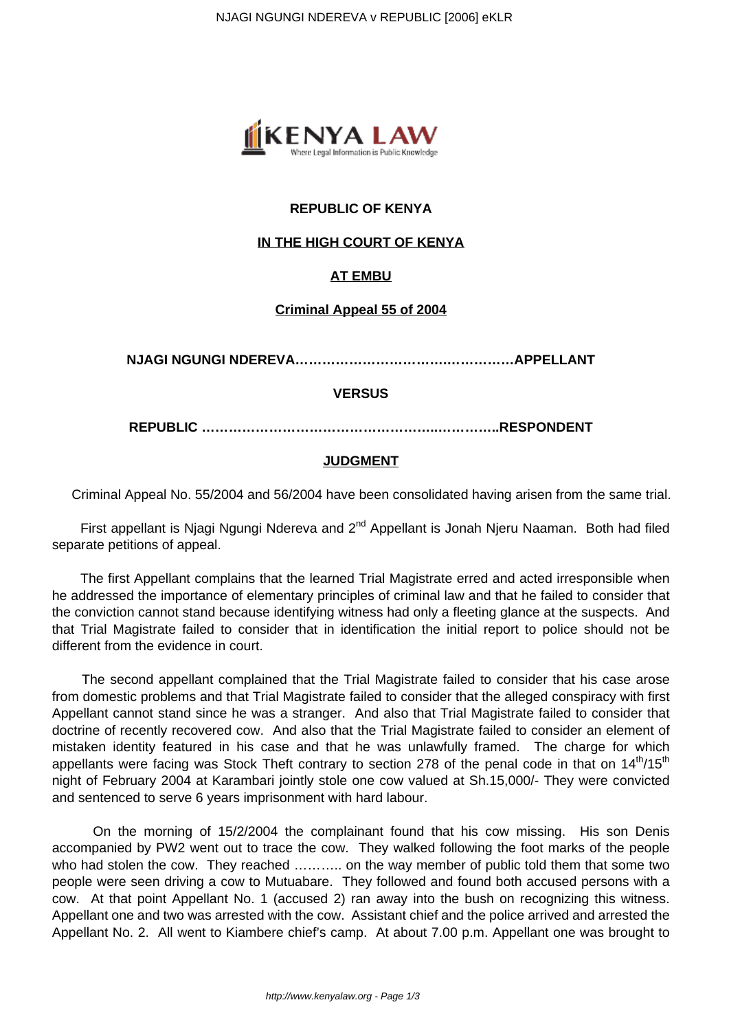

# **REPUBLIC OF KENYA**

## **IN THE HIGH COURT OF KENYA**

## **AT EMBU**

## **Criminal Appeal 55 of 2004**

**NJAGI NGUNGI NDEREVA…………………………….……………APPELLANT**

### **VERSUS**

**REPUBLIC ……………………………………………..…………..RESPONDENT**

### **JUDGMENT**

Criminal Appeal No. 55/2004 and 56/2004 have been consolidated having arisen from the same trial.

First appellant is Njagi Ngungi Ndereva and 2<sup>nd</sup> Appellant is Jonah Njeru Naaman. Both had filed separate petitions of appeal.

 The first Appellant complains that the learned Trial Magistrate erred and acted irresponsible when he addressed the importance of elementary principles of criminal law and that he failed to consider that the conviction cannot stand because identifying witness had only a fleeting glance at the suspects. And that Trial Magistrate failed to consider that in identification the initial report to police should not be different from the evidence in court.

 The second appellant complained that the Trial Magistrate failed to consider that his case arose from domestic problems and that Trial Magistrate failed to consider that the alleged conspiracy with first Appellant cannot stand since he was a stranger. And also that Trial Magistrate failed to consider that doctrine of recently recovered cow. And also that the Trial Magistrate failed to consider an element of mistaken identity featured in his case and that he was unlawfully framed. The charge for which appellants were facing was Stock Theft contrary to section 278 of the penal code in that on 14<sup>th</sup>/15<sup>th</sup> night of February 2004 at Karambari jointly stole one cow valued at Sh.15,000/- They were convicted and sentenced to serve 6 years imprisonment with hard labour.

 On the morning of 15/2/2004 the complainant found that his cow missing. His son Denis accompanied by PW2 went out to trace the cow. They walked following the foot marks of the people who had stolen the cow. They reached .......... on the way member of public told them that some two people were seen driving a cow to Mutuabare. They followed and found both accused persons with a cow. At that point Appellant No. 1 (accused 2) ran away into the bush on recognizing this witness. Appellant one and two was arrested with the cow. Assistant chief and the police arrived and arrested the Appellant No. 2. All went to Kiambere chief's camp. At about 7.00 p.m. Appellant one was brought to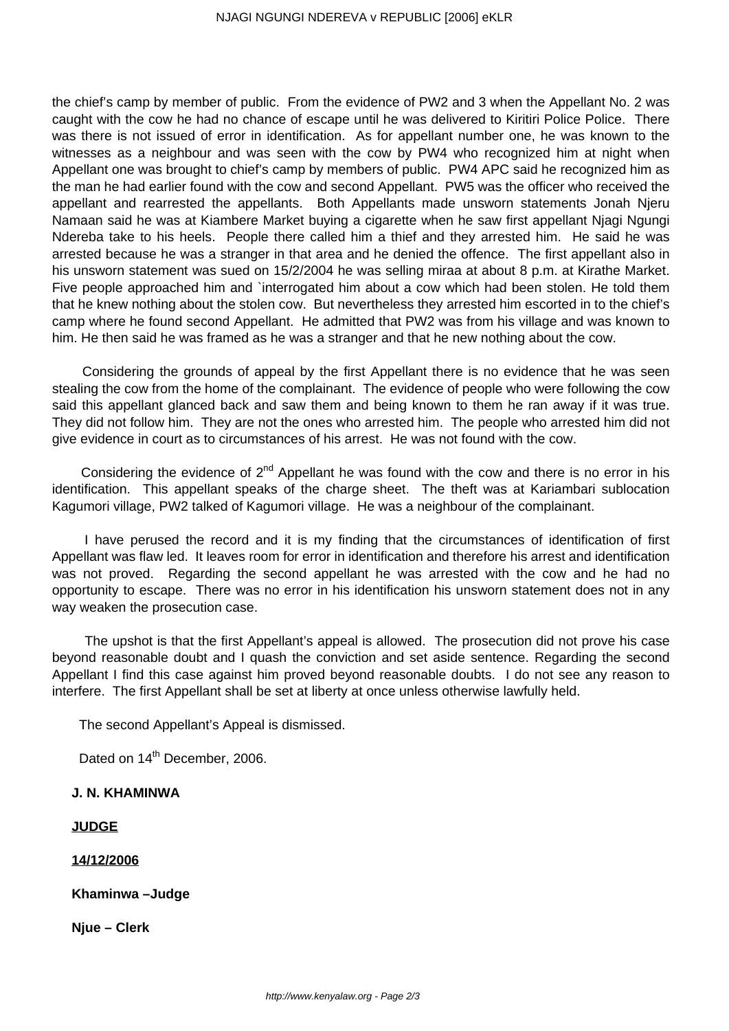the chief's camp by member of public. From the evidence of PW2 and 3 when the Appellant No. 2 was caught with the cow he had no chance of escape until he was delivered to Kiritiri Police Police. There was there is not issued of error in identification. As for appellant number one, he was known to the witnesses as a neighbour and was seen with the cow by PW4 who recognized him at night when Appellant one was brought to chief's camp by members of public. PW4 APC said he recognized him as the man he had earlier found with the cow and second Appellant. PW5 was the officer who received the appellant and rearrested the appellants. Both Appellants made unsworn statements Jonah Njeru Namaan said he was at Kiambere Market buying a cigarette when he saw first appellant Njagi Ngungi Ndereba take to his heels. People there called him a thief and they arrested him. He said he was arrested because he was a stranger in that area and he denied the offence. The first appellant also in his unsworn statement was sued on 15/2/2004 he was selling miraa at about 8 p.m. at Kirathe Market. Five people approached him and `interrogated him about a cow which had been stolen. He told them that he knew nothing about the stolen cow. But nevertheless they arrested him escorted in to the chief's camp where he found second Appellant. He admitted that PW2 was from his village and was known to him. He then said he was framed as he was a stranger and that he new nothing about the cow.

 Considering the grounds of appeal by the first Appellant there is no evidence that he was seen stealing the cow from the home of the complainant. The evidence of people who were following the cow said this appellant glanced back and saw them and being known to them he ran away if it was true. They did not follow him. They are not the ones who arrested him. The people who arrested him did not give evidence in court as to circumstances of his arrest. He was not found with the cow.

Considering the evidence of  $2<sup>nd</sup>$  Appellant he was found with the cow and there is no error in his identification. This appellant speaks of the charge sheet. The theft was at Kariambari sublocation Kagumori village, PW2 talked of Kagumori village. He was a neighbour of the complainant.

 I have perused the record and it is my finding that the circumstances of identification of first Appellant was flaw led. It leaves room for error in identification and therefore his arrest and identification was not proved. Regarding the second appellant he was arrested with the cow and he had no opportunity to escape. There was no error in his identification his unsworn statement does not in any way weaken the prosecution case.

 The upshot is that the first Appellant's appeal is allowed. The prosecution did not prove his case beyond reasonable doubt and I quash the conviction and set aside sentence. Regarding the second Appellant I find this case against him proved beyond reasonable doubts. I do not see any reason to interfere. The first Appellant shall be set at liberty at once unless otherwise lawfully held.

The second Appellant's Appeal is dismissed.

Dated on 14<sup>th</sup> December, 2006.

**J. N. KHAMINWA**

**JUDGE**

**14/12/2006**

**Khaminwa –Judge**

**Njue – Clerk**